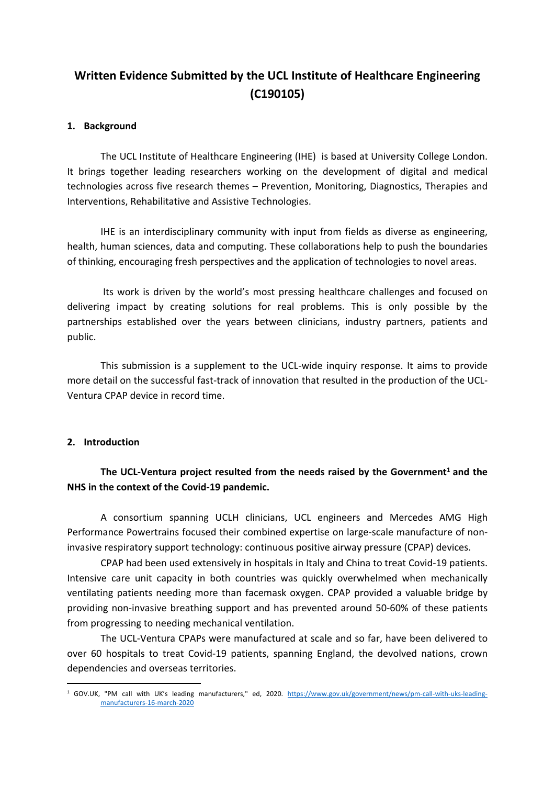# **Written Evidence Submitted by the UCL Institute of Healthcare Engineering (C190105)**

## **1. Background**

The UCL Institute of Healthcare Engineering (IHE) is based at University College London. It brings together leading researchers working on the development of digital and medical technologies across five research themes – Prevention, Monitoring, Diagnostics, Therapies and Interventions, Rehabilitative and Assistive Technologies.

IHE is an interdisciplinary community with input from fields as diverse as engineering, health, human sciences, data and computing. These collaborations help to push the boundaries of thinking, encouraging fresh perspectives and the application of technologies to novel areas.

Its work is driven by the world's most pressing healthcare challenges and focused on delivering impact by creating solutions for real problems. This is only possible by the partnerships established over the years between clinicians, industry partners, patients and public.

This submission is a supplement to the UCL-wide inquiry response. It aims to provide more detail on the successful fast-track of innovation that resulted in the production of the UCL-Ventura CPAP device in record time.

### **2. Introduction**

# **The UCL-Ventura project resulted from the needs raised by the Government<sup>1</sup> and the NHS in the context of the Covid-19 pandemic.**

A consortium spanning UCLH clinicians, UCL engineers and Mercedes AMG High Performance Powertrains focused their combined expertise on large-scale manufacture of noninvasive respiratory support technology: continuous positive airway pressure (CPAP) devices.

CPAP had been used extensively in hospitals in Italy and China to treat Covid-19 patients. Intensive care unit capacity in both countries was quickly overwhelmed when mechanically ventilating patients needing more than facemask oxygen. CPAP provided a valuable bridge by providing non-invasive breathing support and has prevented around 50-60% of these patients from progressing to needing mechanical ventilation.

The UCL-Ventura CPAPs were manufactured at scale and so far, have been delivered to over 60 hospitals to treat Covid-19 patients, spanning England, the devolved nations, crown dependencies and overseas territories.

<sup>&</sup>lt;sup>1</sup> GOV.UK, "PM call with UK's leading manufacturers," ed, 2020. [https://www.gov.uk/government/news/pm-call-with-uks-leading](https://www.gov.uk/government/news/pm-call-with-uks-leading-manufacturers-16-march-2020)[manufacturers-16-march-2020](https://www.gov.uk/government/news/pm-call-with-uks-leading-manufacturers-16-march-2020)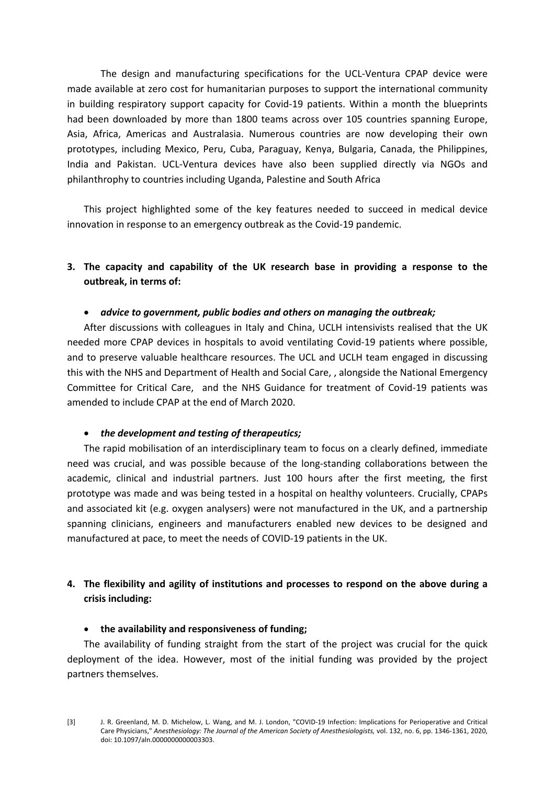The design and manufacturing specifications for the UCL-Ventura CPAP device were made available at zero cost for humanitarian purposes to support the international community in building respiratory support capacity for Covid-19 patients. Within a month the blueprints had been downloaded by more than 1800 teams across over 105 countries spanning Europe, Asia, Africa, Americas and Australasia. Numerous countries are now developing their own prototypes, including Mexico, Peru, Cuba, Paraguay, Kenya, Bulgaria, Canada, the Philippines, India and Pakistan. UCL-Ventura devices have also been supplied directly via NGOs and philanthrophy to countries including Uganda, Palestine and South Africa

This project highlighted some of the key features needed to succeed in medical device innovation in response to an emergency outbreak as the Covid-19 pandemic.

# **3. The capacity and capability of the UK research base in providing a response to the outbreak, in terms of:**

#### *advice to government, public bodies and others on managing the outbreak;*

After discussions with colleagues in Italy and China, UCLH intensivists realised that the UK needed more CPAP devices in hospitals to avoid ventilating Covid-19 patients where possible, and to preserve valuable healthcare resources. The UCL and UCLH team engaged in discussing this with the NHS and Department of Health and Social Care, , alongside the National Emergency Committee for Critical Care, and the NHS Guidance for treatment of Covid-19 patients was amended to include CPAP at the end of March 2020.

#### *the development and testing of therapeutics;*

The rapid mobilisation of an interdisciplinary team to focus on a clearly defined, immediate need was crucial, and was possible because of the long-standing collaborations between the academic, clinical and industrial partners. Just 100 hours after the first meeting, the first prototype was made and was being tested in a hospital on healthy volunteers. Crucially, CPAPs and associated kit (e.g. oxygen analysers) were not manufactured in the UK, and a partnership spanning clinicians, engineers and manufacturers enabled new devices to be designed and manufactured at pace, to meet the needs of COVID-19 patients in the UK.

# **4. The flexibility and agility of institutions and processes to respond on the above during a crisis including:**

### **the availability and responsiveness of funding;**

The availability of funding straight from the start of the project was crucial for the quick deployment of the idea. However, most of the initial funding was provided by the project partners themselves.

[3] J. R. Greenland, M. D. Michelow, L. Wang, and M. J. London, "COVID-19 Infection: Implications for Perioperative and Critical Care Physicians," *Anesthesiology: The Journal of the American Society of Anesthesiologists,* vol. 132, no. 6, pp. 1346-1361, 2020, doi: 10.1097/aln.0000000000003303.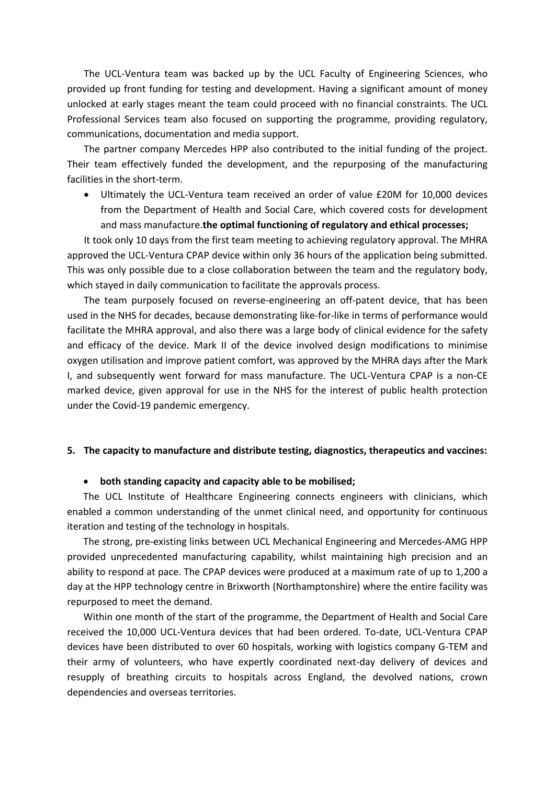The UCL-Ventura team was backed up by the UCL Faculty of Engineering Sciences, who provided up front funding for testing and development. Having a significant amount of money unlocked at early stages meant the team could proceed with no financial constraints. The UCL Professional Services team also focused on supporting the programme, providing regulatory, communications, documentation and media support.

The partner company Mercedes HPP also contributed to the initial funding of the project. Their team effectively funded the development, and the repurposing of the manufacturing facilities in the short-term.

 Ultimately the UCL-Ventura team received an order of value £20M for 10,000 devices from the Department of Health and Social Care, which covered costs for development and mass manufacture.**the optimal functioning of regulatory and ethical processes;**

It took only 10 days from the first team meeting to achieving regulatory approval. The MHRA approved the UCL-Ventura CPAP device within only 36 hours of the application being submitted. This was only possible due to a close collaboration between the team and the regulatory body, which stayed in daily communication to facilitate the approvals process.

The team purposely focused on reverse-engineering an off-patent device, that has been used in the NHS for decades, because demonstrating like-for-like in terms of performance would facilitate the MHRA approval, and also there was a large body of clinical evidence for the safety and efficacy of the device. Mark II of the device involved design modifications to minimise oxygen utilisation and improve patient comfort, was approved by the MHRA days after the Mark I, and subsequently went forward for mass manufacture. The UCL-Ventura CPAP is a non-CE marked device, given approval for use in the NHS for the interest of public health protection under the Covid-19 pandemic emergency.

### **5. The capacity to manufacture and distribute testing, diagnostics, therapeutics and vaccines:**

#### **both standing capacity and capacity able to be mobilised;**

The UCL Institute of Healthcare Engineering connects engineers with clinicians, which enabled a common understanding of the unmet clinical need, and opportunity for continuous iteration and testing of the technology in hospitals.

The strong, pre-existing links between UCL Mechanical Engineering and Mercedes-AMG HPP provided unprecedented manufacturing capability, whilst maintaining high precision and an ability to respond at pace. The CPAP devices were produced at a maximum rate of up to 1,200 a day at the HPP technology centre in Brixworth (Northamptonshire) where the entire facility was repurposed to meet the demand.

Within one month of the start of the programme, the Department of Health and Social Care received the 10,000 UCL-Ventura devices that had been ordered. To-date, UCL-Ventura CPAP devices have been distributed to over 60 hospitals, working with logistics company G-TEM and their army of volunteers, who have expertly coordinated next-day delivery of devices and resupply of breathing circuits to hospitals across England, the devolved nations, crown dependencies and overseas territories.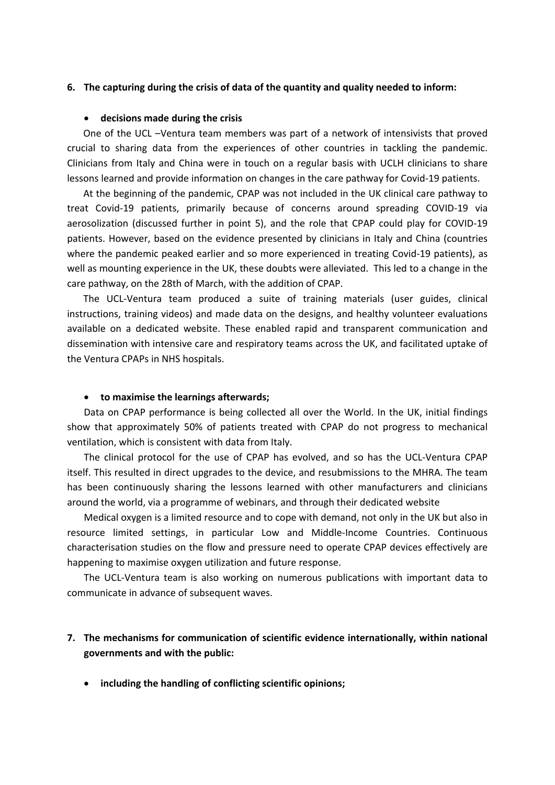### **6. The capturing during the crisis of data of the quantity and quality needed to inform:**

#### **decisions made during the crisis**

One of the UCL –Ventura team members was part of a network of intensivists that proved crucial to sharing data from the experiences of other countries in tackling the pandemic. Clinicians from Italy and China were in touch on a regular basis with UCLH clinicians to share lessons learned and provide information on changes in the care pathway for Covid-19 patients.

At the beginning of the pandemic, CPAP was not included in the UK clinical care pathway to treat Covid-19 patients, primarily because of concerns around spreading COVID-19 via aerosolization (discussed further in point 5), and the role that CPAP could play for COVID-19 patients. However, based on the evidence presented by clinicians in Italy and China (countries where the pandemic peaked earlier and so more experienced in treating Covid-19 patients), as well as mounting experience in the UK, these doubts were alleviated. This led to a change in the care pathway, on the 28th of March, with the addition of CPAP.

The UCL-Ventura team produced a suite of training materials (user guides, clinical instructions, training videos) and made data on the designs, and healthy volunteer evaluations available on a dedicated website. These enabled rapid and transparent communication and dissemination with intensive care and respiratory teams across the UK, and facilitated uptake of the Ventura CPAPs in NHS hospitals.

#### **to maximise the learnings afterwards;**

Data on CPAP performance is being collected all over the World. In the UK, initial findings show that approximately 50% of patients treated with CPAP do not progress to mechanical ventilation, which is consistent with data from Italy.

The clinical protocol for the use of CPAP has evolved, and so has the UCL-Ventura CPAP itself. This resulted in direct upgrades to the device, and resubmissions to the MHRA. The team has been continuously sharing the lessons learned with other manufacturers and clinicians around the world, via a programme of webinars, and through their dedicated website

Medical oxygen is a limited resource and to cope with demand, not only in the UK but also in resource limited settings, in particular Low and Middle-Income Countries. Continuous characterisation studies on the flow and pressure need to operate CPAP devices effectively are happening to maximise oxygen utilization and future response.

The UCL-Ventura team is also working on numerous publications with important data to communicate in advance of subsequent waves.

# **7. The mechanisms for communication of scientific evidence internationally, within national governments and with the public:**

**including the handling of conflicting scientific opinions;**